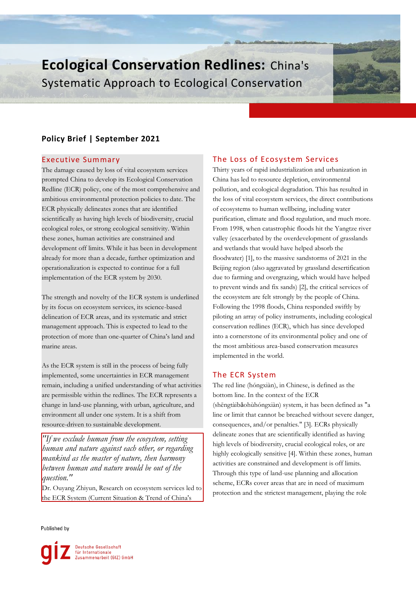# **Ecological Conservation Redlines:** China's Systematic Approach to Ecological Conservation

## **Policy Brief | September 2021**

## Executive Summary

The damage caused by loss of vital ecosystem services prompted China to develop its Ecological Conservation Redline (ECR) policy, one of the most comprehensive and ambitious environmental protection policies to date. The ECR physically delineates zones that are identified scientifically as having high levels of biodiversity, crucial ecological roles, or strong ecological sensitivity. Within these zones, human activities are constrained and development off limits. While it has been in development already for more than a decade, further optimization and operationalization is expected to continue for a full implementation of the ECR system by 2030.

The strength and novelty of the ECR system is underlined by its focus on ecosystem services, its science-based delineation of ECR areas, and its systematic and strict management approach. This is expected to lead to the protection of more than one-quarter of China's land and marine areas.

As the ECR system is still in the process of being fully implemented, some uncertainties in ECR management remain, including a unified understanding of what activities are permissible within the redlines. The ECR represents a change in land-use planning, with urban, agriculture, and environment all under one system. It is a shift from resource-driven to sustainable development.

*"If we exclude human from the ecosystem, setting human and nature against each other, or regarding mankind as the master of nature, then harmony between human and nature would be out of the question."*

Dr. Ouyang Zhiyun, Research on ecosystem services led to the ECR System (Current Situation & Trend of China's

## Published by



## The Loss of Ecosystem Services

Thirty years of rapid industrialization and urbanization in China has led to resource depletion, environmental pollution, and ecological degradation. This has resulted in the loss of vital ecosystem services, the direct contributions of ecosystems to human wellbeing, including water purification, climate and flood regulation, and much more. From 1998, when catastrophic floods hit the Yangtze river valley (exacerbated by the overdevelopment of grasslands and wetlands that would have helped absorb the floodwater) [1], to the massive sandstorms of 2021 in the Beijing region (also aggravated by grassland desertification due to farming and overgrazing, which would have helped to prevent winds and fix sands) [2], the critical services of the ecosystem are felt strongly by the people of China. Following the 1998 floods, China responded swiftly by piloting an array of policy instruments, including ecological conservation redlines (ECR), which has since developed into a cornerstone of its environmental policy and one of the most ambitious area-based conservation measures implemented in the world.

## The ECR System

The red line (hóngxiàn), in Chinese, is defined as the bottom line. In the context of the ECR (shēngtàibǎohùhóngxiàn) system, it has been defined as "a line or limit that cannot be breached without severe danger, consequences, and/or penalties." [3]. ECRs physically delineate zones that are scientifically identified as having high levels of biodiversity, crucial ecological roles, or are highly ecologically sensitive [4]. Within these zones, human activities are constrained and development is off limits. Through this type of land-use planning and allocation scheme, ECRs cover areas that are in need of maximum protection and the strictest management, playing the role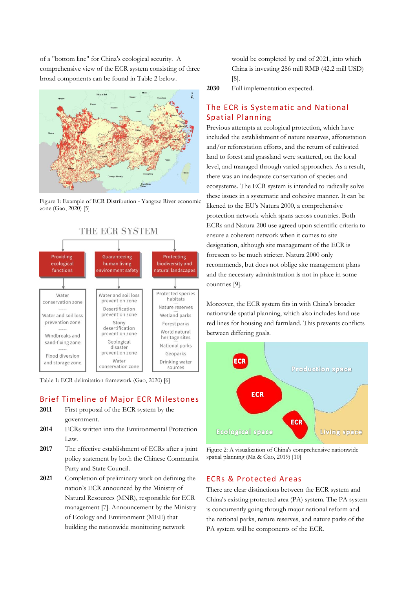of a "bottom line" for China's ecological security. A comprehensive view of the ECR system consisting of three broad components can be found in Table 2 below.



Figure 1: Example of ECR Distribution - Yangtze River economic zone (Gao, 2020) [5]



Table 1: ECR delimitation framework (Gao, 2020) [6]

## Brief Timeline of Major ECR Milestones

- **2011** First proposal of the ECR system by the government.
- **2014** ECRs written into the Environmental Protection Law.
- **2017** The effective establishment of ECRs after a joint policy statement by both the Chinese Communist Party and State Council.
- **2021** Completion of preliminary work on defining the nation's ECR announced by the Ministry of Natural Resources (MNR), responsible for ECR management [7]. Announcement by the Ministry of Ecology and Environment (MEE) that building the nationwide monitoring network

would be completed by end of 2021, into which China is investing 286 mill RMB (42.2 mill USD) [8].

**2030** Full implementation expected.

## The ECR is Systematic and National Spatial Planning

Previous attempts at ecological protection, which have included the establishment of nature reserves, afforestation and/or reforestation efforts, and the return of cultivated land to forest and grassland were scattered, on the local level, and managed through varied approaches. As a result, there was an inadequate conservation of species and ecosystems. The ECR system is intended to radically solve these issues in a systematic and cohesive manner. It can be likened to the EU's Natura 2000, a comprehensive protection network which spans across countries. Both ECRs and Natura 200 use agreed upon scientific criteria to ensure a coherent network when it comes to site designation, although site management of the ECR is foreseen to be much stricter. Natura 2000 only recommends, but does not oblige site management plans and the necessary administration is not in place in some countries [9].

Moreover, the ECR system fits in with China's broader nationwide spatial planning, which also includes land use red lines for housing and farmland. This prevents conflicts between differing goals.



Figure 2: A visualization of China's comprehensive nationwide spatial planning (Ma & Gao, 2019) [10]

## ECRs & Protected Areas

There are clear distinctions between the ECR system and China's existing protected area (PA) system. The PA system is concurrently going through major national reform and the national parks, nature reserves, and nature parks of the PA system will be components of the ECR.

## THE ECR SYSTEM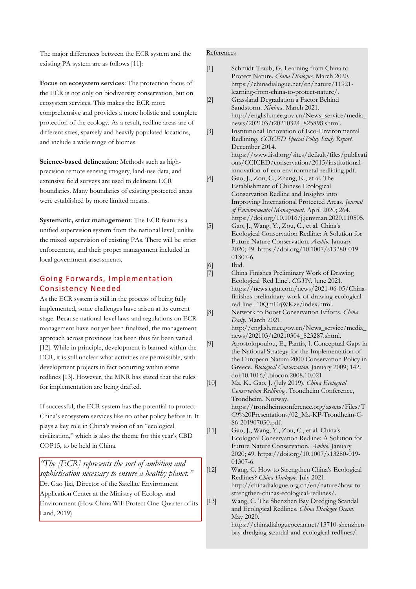The major differences between the ECR system and the existing PA system are as follows [11]:

**Focus on ecosystem services**: The protection focus of the ECR is not only on biodiversity conservation, but on ecosystem services. This makes the ECR more comprehensive and provides a more holistic and complete protection of the ecology. As a result, redline areas are of different sizes, sparsely and heavily populated locations, and include a wide range of biomes.

**Science-based delineation**: Methods such as highprecision remote sensing imagery, land-use data, and extensive field surveys are used to delineate ECR boundaries. Many boundaries of existing protected areas were established by more limited means.

**Systematic, strict management**: The ECR features a unified supervision system from the national level, unlike the mixed supervision of existing PAs. There will be strict enforcement, and their proper management included in local government assessments.

## Going Forwards, Implementation Consistency Needed

As the ECR system is still in the process of being fully implemented, some challenges have arisen at its current stage. Because national-level laws and regulations on ECR management have not yet been finalized, the management approach across provinces has been thus far been varied [12]. While in principle, development is banned within the ECR, it is still unclear what activities are permissible, with development projects in fact occurring within some redlines [13]. However, the MNR has stated that the rules for implementation are being drafted.

If successful, the ECR system has the potential to protect China's ecosystem services like no other policy before it. It plays a key role in China's vision of an "ecological civilization," which is also the theme for this year's CBD COP15, to be held in China.

*"The [ECR] represents the sort of ambition and sophistication necessary to ensure a healthy planet."*  Dr. Gao Jixi, Director of the Satellite Environment Application Center at the Ministry of Ecology and Environment (How China Will Protect One-Quarter of its Land, 2019)

## References

| $[1]$  | Schmidt-Traub, G. Learning from China to<br>Protect Nature. China Dialogue. March 2020.            |
|--------|----------------------------------------------------------------------------------------------------|
|        | https://chinadialogue.net/en/nature/11921-                                                         |
|        | learning-from-china-to-protect-nature/.                                                            |
| $[2]$  | Grassland Degradation a Factor Behind                                                              |
|        | Sandstorm. Xinhua. March 2021.                                                                     |
|        | http://english.mee.gov.cn/News_service/media_                                                      |
|        | news/202103/t20210324_825898.shtml.<br>Institutional Innovation of Eco-Environmental               |
| $[3]$  | Redlining. CCICED Special Policy Study Report.                                                     |
|        | December 2014.                                                                                     |
|        | https://www.iisd.org/sites/default/files/publicati                                                 |
|        | ons/CCICED/conservation/2015/institutional-                                                        |
|        | innovation-of-eco-environmetal-redlining.pdf.                                                      |
| $[4]$  | Gao, J., Zou, C., Zhang, K., et al. The                                                            |
|        | Establishment of Chinese Ecological                                                                |
|        | Conservation Redline and Insights into<br>Improving International Protected Areas. Journal         |
|        | of Environmental Management. April 2020; 264.                                                      |
|        | https://doi.org/10.1016/j.jenvman.2020.110505.                                                     |
| $[5]$  | Gao, J., Wang, Y., Zou, C., et al. China's                                                         |
|        | Ecological Conservation Redline: A Solution for                                                    |
|        | Future Nature Conservation. Ambio. January                                                         |
|        | 2020; 49. https://doi.org/10.1007/s13280-019-<br>$01307 - 6.$                                      |
| [6]    | Ibid.                                                                                              |
| $[7]$  | China Finishes Preliminary Work of Drawing                                                         |
|        | Ecological 'Red Line'. CGTN. June 2021.                                                            |
|        | https://news.cgtn.com/news/2021-06-05/China-                                                       |
|        | finishes-preliminary-work-of-drawing-ecological-<br>red-line--10QmErjWKze/index.html.              |
| [8]    | Network to Boost Conservation Efforts. China                                                       |
|        | Daily. March 2021.                                                                                 |
|        | http://english.mee.gov.cn/News_service/media_                                                      |
|        | news/202103/t20210304_823287.shtml.                                                                |
| $[9]$  | Apostolopoulou, E., Pantis, J. Conceptual Gaps in                                                  |
|        | the National Strategy for the Implementation of<br>the European Natura 2000 Conservation Policy in |
|        | Greece. Biological Conservation. January 2009; 142.                                                |
|        | doi:10.1016/j.biocon.2008.10.021.                                                                  |
| [10]   | Ma, K., Gao, J. (July 2019). China Ecological                                                      |
|        | Conservation Redlining. Trondheim Conference,                                                      |
|        | Trondheim, Norway.                                                                                 |
|        | https://trondheimconference.org/assets/Files/T<br>C9%20Presentations/02_Ma-KP-Trondheim-C-         |
|        | S6-201907030.pdf.                                                                                  |
| $[11]$ | Gao, J., Wang, Y., Zou, C., et al. China's                                                         |
|        | Ecological Conservation Redline: A Solution for                                                    |
|        | Future Nature Conservation. Ambio. January                                                         |
|        | 2020; 49. https://doi.org/10.1007/s13280-019-<br>$01307 - 6.$                                      |
| $[12]$ | Wang, C. How to Strengthen China's Ecological                                                      |
|        | Redlines? China Dialogue. July 2021.                                                               |
|        | http://chinadialogue.org.cn/en/nature/how-to-                                                      |
|        | strengthen-chinas-ecological-redlines/.                                                            |
| $[13]$ | Wang, C. The Shenzhen Bay Dredging Scandal                                                         |
|        | and Ecological Redlines. China Dialogue Ocean.<br>May 2020.                                        |
|        | https://chinadialogueocean.net/13710-shenzhen-                                                     |
|        | bay-dredging-scandal-and-ecological-redlines/.                                                     |
|        |                                                                                                    |